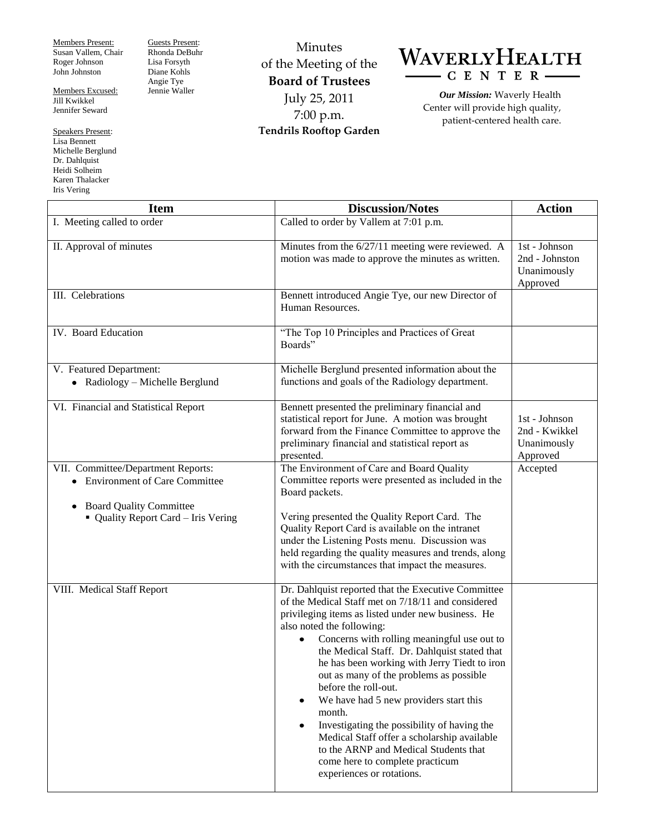Members Present: Susan Vallem, Chair Roger Johnson John Johnston

Members Excused: Jill Kwikkel Jennifer Seward

Speakers Present: Lisa Bennett Michelle Berglund Dr. Dahlquist Heidi Solheim Karen Thalacker Iris Vering

Guests Present: Rhonda DeBuhr Lisa Forsyth Diane Kohls Angie Tye Jennie Waller

Minutes of the Meeting of the **Board of Trustees** July 25, 2011 7:00 p.m. **Tendrils Rooftop Garden**



*Our Mission:* Waverly Health Center will provide high quality, patient-centered health care.

| <b>Item</b>                                                                        | <b>Discussion/Notes</b>                                                                                                                                                                                                                                                                                                                                                                                                                                                                                                                                                                                                                                                                                          | <b>Action</b>                                              |
|------------------------------------------------------------------------------------|------------------------------------------------------------------------------------------------------------------------------------------------------------------------------------------------------------------------------------------------------------------------------------------------------------------------------------------------------------------------------------------------------------------------------------------------------------------------------------------------------------------------------------------------------------------------------------------------------------------------------------------------------------------------------------------------------------------|------------------------------------------------------------|
| I. Meeting called to order                                                         | Called to order by Vallem at 7:01 p.m.                                                                                                                                                                                                                                                                                                                                                                                                                                                                                                                                                                                                                                                                           |                                                            |
| II. Approval of minutes                                                            | Minutes from the 6/27/11 meeting were reviewed. A<br>motion was made to approve the minutes as written.                                                                                                                                                                                                                                                                                                                                                                                                                                                                                                                                                                                                          | 1st - Johnson<br>2nd - Johnston<br>Unanimously<br>Approved |
| III. Celebrations                                                                  | Bennett introduced Angie Tye, our new Director of<br>Human Resources.                                                                                                                                                                                                                                                                                                                                                                                                                                                                                                                                                                                                                                            |                                                            |
| IV. Board Education                                                                | "The Top 10 Principles and Practices of Great<br>Boards"                                                                                                                                                                                                                                                                                                                                                                                                                                                                                                                                                                                                                                                         |                                                            |
| V. Featured Department:<br>• Radiology - Michelle Berglund                         | Michelle Berglund presented information about the<br>functions and goals of the Radiology department.                                                                                                                                                                                                                                                                                                                                                                                                                                                                                                                                                                                                            |                                                            |
| VI. Financial and Statistical Report                                               | Bennett presented the preliminary financial and<br>statistical report for June. A motion was brought<br>forward from the Finance Committee to approve the<br>preliminary financial and statistical report as<br>presented.                                                                                                                                                                                                                                                                                                                                                                                                                                                                                       | 1st - Johnson<br>2nd - Kwikkel<br>Unanimously<br>Approved  |
| VII. Committee/Department Reports:<br>• Environment of Care Committee              | The Environment of Care and Board Quality<br>Committee reports were presented as included in the<br>Board packets.                                                                                                                                                                                                                                                                                                                                                                                                                                                                                                                                                                                               | Accepted                                                   |
| <b>Board Quality Committee</b><br>$\bullet$<br>• Quality Report Card - Iris Vering | Vering presented the Quality Report Card. The<br>Quality Report Card is available on the intranet<br>under the Listening Posts menu. Discussion was<br>held regarding the quality measures and trends, along<br>with the circumstances that impact the measures.                                                                                                                                                                                                                                                                                                                                                                                                                                                 |                                                            |
| VIII. Medical Staff Report                                                         | Dr. Dahlquist reported that the Executive Committee<br>of the Medical Staff met on 7/18/11 and considered<br>privileging items as listed under new business. He<br>also noted the following:<br>Concerns with rolling meaningful use out to<br>$\bullet$<br>the Medical Staff. Dr. Dahlquist stated that<br>he has been working with Jerry Tiedt to iron<br>out as many of the problems as possible<br>before the roll-out.<br>We have had 5 new providers start this<br>$\bullet$<br>month.<br>Investigating the possibility of having the<br>$\bullet$<br>Medical Staff offer a scholarship available<br>to the ARNP and Medical Students that<br>come here to complete practicum<br>experiences or rotations. |                                                            |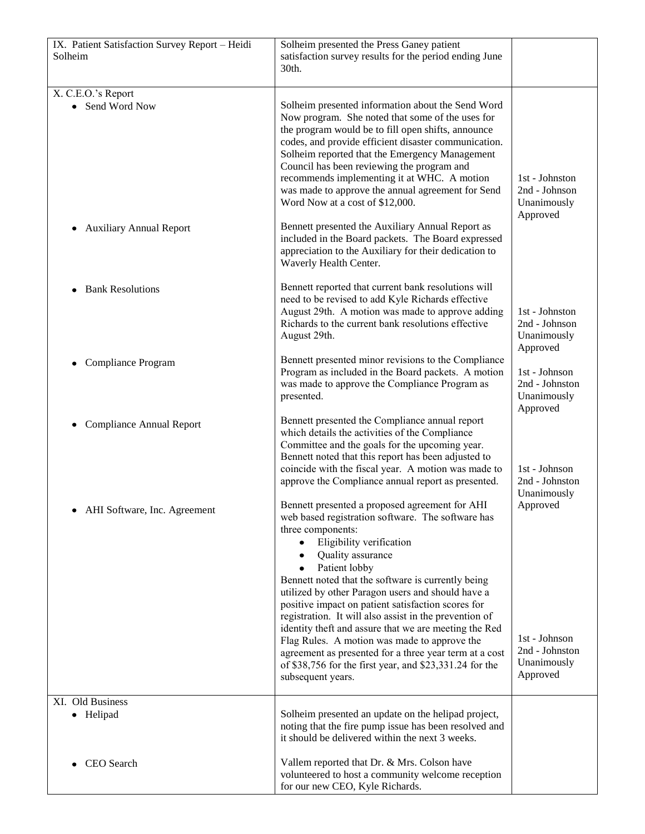| IX. Patient Satisfaction Survey Report - Heidi<br>Solheim | Solheim presented the Press Ganey patient<br>satisfaction survey results for the period ending June<br>30th.                                                                                                                                                                                                                                                                                                                                                                   |                                                            |
|-----------------------------------------------------------|--------------------------------------------------------------------------------------------------------------------------------------------------------------------------------------------------------------------------------------------------------------------------------------------------------------------------------------------------------------------------------------------------------------------------------------------------------------------------------|------------------------------------------------------------|
| X. C.E.O.'s Report<br>Send Word Now<br>$\bullet$          | Solheim presented information about the Send Word<br>Now program. She noted that some of the uses for<br>the program would be to fill open shifts, announce<br>codes, and provide efficient disaster communication.<br>Solheim reported that the Emergency Management<br>Council has been reviewing the program and<br>recommends implementing it at WHC. A motion<br>was made to approve the annual agreement for Send<br>Word Now at a cost of \$12,000.                     | 1st - Johnston<br>2nd - Johnson<br>Unanimously<br>Approved |
| <b>Auxiliary Annual Report</b><br>٠                       | Bennett presented the Auxiliary Annual Report as<br>included in the Board packets. The Board expressed<br>appreciation to the Auxiliary for their dedication to<br>Waverly Health Center.                                                                                                                                                                                                                                                                                      |                                                            |
| <b>Bank Resolutions</b>                                   | Bennett reported that current bank resolutions will<br>need to be revised to add Kyle Richards effective<br>August 29th. A motion was made to approve adding<br>Richards to the current bank resolutions effective<br>August 29th.                                                                                                                                                                                                                                             | 1st - Johnston<br>2nd - Johnson<br>Unanimously<br>Approved |
| Compliance Program<br>٠                                   | Bennett presented minor revisions to the Compliance<br>Program as included in the Board packets. A motion<br>was made to approve the Compliance Program as<br>presented.                                                                                                                                                                                                                                                                                                       | 1st - Johnson<br>2nd - Johnston<br>Unanimously<br>Approved |
| <b>Compliance Annual Report</b>                           | Bennett presented the Compliance annual report<br>which details the activities of the Compliance<br>Committee and the goals for the upcoming year.<br>Bennett noted that this report has been adjusted to<br>coincide with the fiscal year. A motion was made to<br>approve the Compliance annual report as presented.                                                                                                                                                         | 1st - Johnson<br>2nd - Johnston<br>Unanimously             |
| AHI Software, Inc. Agreement                              | Bennett presented a proposed agreement for AHI<br>web based registration software. The software has<br>three components:<br>Eligibility verification<br>Quality assurance<br>Patient lobby<br>Bennett noted that the software is currently being<br>utilized by other Paragon users and should have a<br>positive impact on patient satisfaction scores for<br>registration. It will also assist in the prevention of<br>identity theft and assure that we are meeting the Red | Approved                                                   |
|                                                           | Flag Rules. A motion was made to approve the<br>agreement as presented for a three year term at a cost<br>of \$38,756 for the first year, and \$23,331.24 for the<br>subsequent years.                                                                                                                                                                                                                                                                                         | 1st - Johnson<br>2nd - Johnston<br>Unanimously<br>Approved |
| XI. Old Business                                          |                                                                                                                                                                                                                                                                                                                                                                                                                                                                                |                                                            |
| • Helipad                                                 | Solheim presented an update on the helipad project,<br>noting that the fire pump issue has been resolved and<br>it should be delivered within the next 3 weeks.                                                                                                                                                                                                                                                                                                                |                                                            |
| CEO Search                                                | Vallem reported that Dr. & Mrs. Colson have<br>volunteered to host a community welcome reception<br>for our new CEO, Kyle Richards.                                                                                                                                                                                                                                                                                                                                            |                                                            |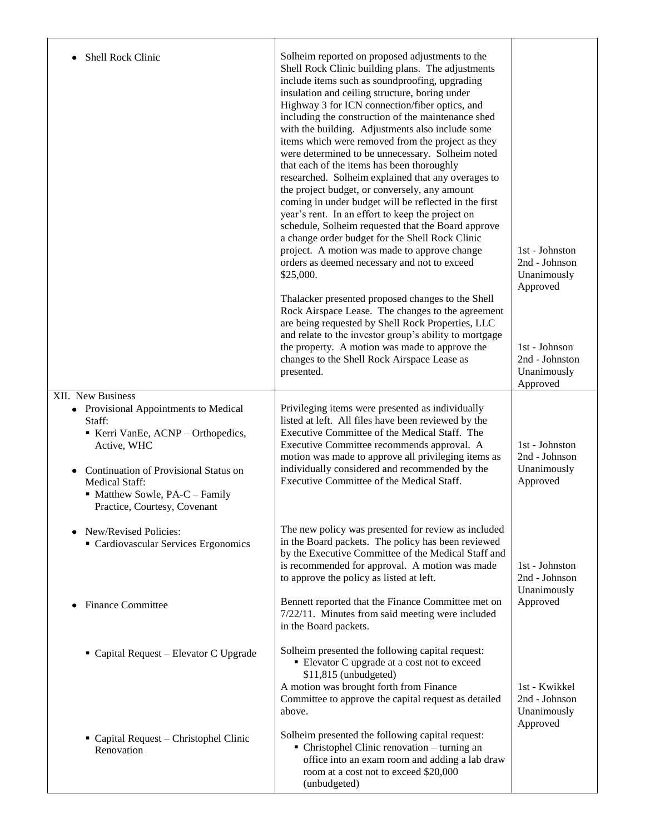| <b>Shell Rock Clinic</b>                                                                                                                                                                                                                                  | Solheim reported on proposed adjustments to the<br>Shell Rock Clinic building plans. The adjustments<br>include items such as soundproofing, upgrading<br>insulation and ceiling structure, boring under<br>Highway 3 for ICN connection/fiber optics, and<br>including the construction of the maintenance shed<br>with the building. Adjustments also include some<br>items which were removed from the project as they<br>were determined to be unnecessary. Solheim noted<br>that each of the items has been thoroughly<br>researched. Solheim explained that any overages to<br>the project budget, or conversely, any amount<br>coming in under budget will be reflected in the first<br>year's rent. In an effort to keep the project on<br>schedule, Solheim requested that the Board approve<br>a change order budget for the Shell Rock Clinic<br>project. A motion was made to approve change<br>orders as deemed necessary and not to exceed<br>\$25,000.<br>Thalacker presented proposed changes to the Shell<br>Rock Airspace Lease. The changes to the agreement<br>are being requested by Shell Rock Properties, LLC<br>and relate to the investor group's ability to mortgage<br>the property. A motion was made to approve the<br>changes to the Shell Rock Airspace Lease as<br>presented. | 1st - Johnston<br>2nd - Johnson<br>Unanimously<br>Approved<br>1st - Johnson<br>2nd - Johnston<br>Unanimously |
|-----------------------------------------------------------------------------------------------------------------------------------------------------------------------------------------------------------------------------------------------------------|---------------------------------------------------------------------------------------------------------------------------------------------------------------------------------------------------------------------------------------------------------------------------------------------------------------------------------------------------------------------------------------------------------------------------------------------------------------------------------------------------------------------------------------------------------------------------------------------------------------------------------------------------------------------------------------------------------------------------------------------------------------------------------------------------------------------------------------------------------------------------------------------------------------------------------------------------------------------------------------------------------------------------------------------------------------------------------------------------------------------------------------------------------------------------------------------------------------------------------------------------------------------------------------------------------------|--------------------------------------------------------------------------------------------------------------|
|                                                                                                                                                                                                                                                           |                                                                                                                                                                                                                                                                                                                                                                                                                                                                                                                                                                                                                                                                                                                                                                                                                                                                                                                                                                                                                                                                                                                                                                                                                                                                                                               | Approved                                                                                                     |
| XII. New Business<br>• Provisional Appointments to Medical<br>Staff:<br>Kerri VanEe, ACNP - Orthopedics,<br>Active, WHC<br>Continuation of Provisional Status on<br>٠<br>Medical Staff:<br>• Matthew Sowle, PA-C – Family<br>Practice, Courtesy, Covenant | Privileging items were presented as individually<br>listed at left. All files have been reviewed by the<br>Executive Committee of the Medical Staff. The<br>Executive Committee recommends approval. A<br>motion was made to approve all privileging items as<br>individually considered and recommended by the<br>Executive Committee of the Medical Staff.                                                                                                                                                                                                                                                                                                                                                                                                                                                                                                                                                                                                                                                                                                                                                                                                                                                                                                                                                  | 1st - Johnston<br>2nd - Johnson<br>Unanimously<br>Approved                                                   |
| New/Revised Policies:<br>Cardiovascular Services Ergonomics                                                                                                                                                                                               | The new policy was presented for review as included<br>in the Board packets. The policy has been reviewed<br>by the Executive Committee of the Medical Staff and<br>is recommended for approval. A motion was made<br>to approve the policy as listed at left.                                                                                                                                                                                                                                                                                                                                                                                                                                                                                                                                                                                                                                                                                                                                                                                                                                                                                                                                                                                                                                                | 1st - Johnston<br>2nd - Johnson<br>Unanimously                                                               |
| <b>Finance Committee</b><br>٠                                                                                                                                                                                                                             | Bennett reported that the Finance Committee met on<br>7/22/11. Minutes from said meeting were included<br>in the Board packets.                                                                                                                                                                                                                                                                                                                                                                                                                                                                                                                                                                                                                                                                                                                                                                                                                                                                                                                                                                                                                                                                                                                                                                               | Approved                                                                                                     |
| Capital Request - Elevator C Upgrade                                                                                                                                                                                                                      | Solheim presented the following capital request:<br>Elevator C upgrade at a cost not to exceed<br>\$11,815 (unbudgeted)<br>A motion was brought forth from Finance<br>Committee to approve the capital request as detailed<br>above.                                                                                                                                                                                                                                                                                                                                                                                                                                                                                                                                                                                                                                                                                                                                                                                                                                                                                                                                                                                                                                                                          | 1st - Kwikkel<br>2nd - Johnson<br>Unanimously<br>Approved                                                    |
| • Capital Request – Christophel Clinic<br>Renovation                                                                                                                                                                                                      | Solheim presented the following capital request:<br>• Christophel Clinic renovation – turning an<br>office into an exam room and adding a lab draw<br>room at a cost not to exceed \$20,000<br>(unbudgeted)                                                                                                                                                                                                                                                                                                                                                                                                                                                                                                                                                                                                                                                                                                                                                                                                                                                                                                                                                                                                                                                                                                   |                                                                                                              |